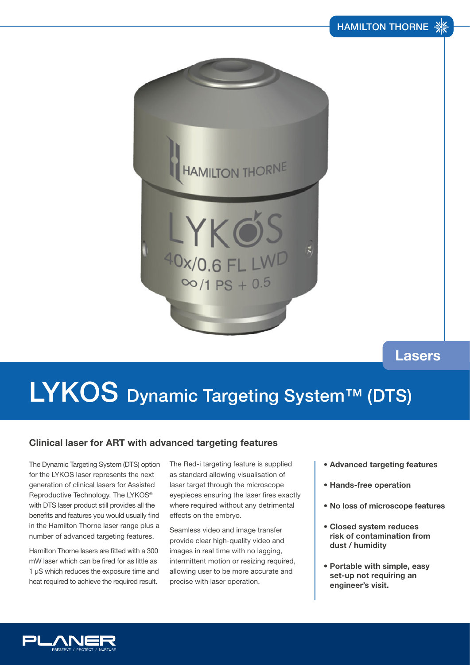

## **Lasers**

## LYKOS Dynamic Targeting System™ (DTS)

### **Clinical laser for ART with advanced targeting features**

The Dynamic Targeting System (DTS) option for the LYKOS laser represents the next generation of clinical lasers for Assisted Reproductive Technology. The LYKOS® with DTS laser product still provides all the benefits and features you would usually find in the Hamilton Thorne laser range plus a number of advanced targeting features.

Hamilton Thorne lasers are fitted with a 300 mW laser which can be fired for as little as 1 µS which reduces the exposure time and heat required to achieve the required result.

The Red-i targeting feature is supplied as standard allowing visualisation of laser target through the microscope eyepieces ensuring the laser fires exactly where required without any detrimental effects on the embryo.

Seamless video and image transfer provide clear high-quality video and images in real time with no lagging, intermittent motion or resizing required, allowing user to be more accurate and precise with laser operation.

- **Advanced targeting features**
- **Hands-free operation**
- **No loss of microscope features**
- **Closed system reduces risk of contamination from dust / humidity**
- **Portable with simple, easy set-up not requiring an engineer's visit.**